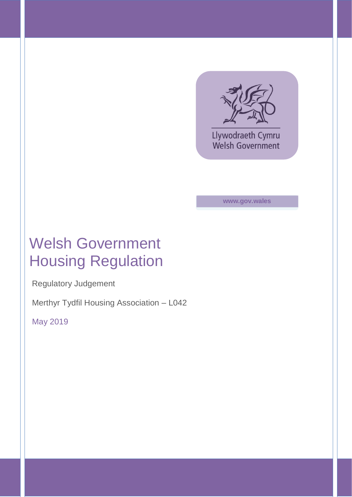

Llywodraeth Cymru **Welsh Government** 

**www.gov.wales**

# Welsh Government Housing Regulation

Regulatory Judgement

Merthyr Tydfil Housing Association – L042

May 2019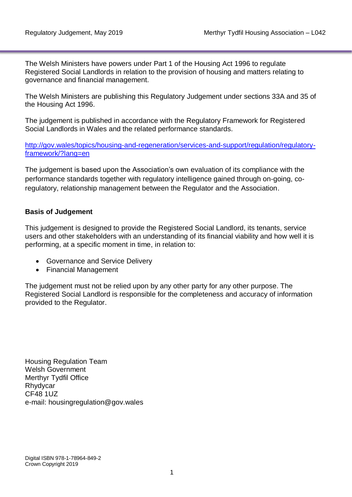The Welsh Ministers have powers under Part 1 of the Housing Act 1996 to regulate Registered Social Landlords in relation to the provision of housing and matters relating to governance and financial management.

The Welsh Ministers are publishing this Regulatory Judgement under sections 33A and 35 of the Housing Act 1996.

The judgement is published in accordance with the Regulatory Framework for Registered Social Landlords in Wales and the related performance standards.

[http://gov.wales/topics/housing-and-regeneration/services-and-support/regulation/regulatory](http://gov.wales/topics/housing-and-regeneration/services-and-support/regulation/regulatory-framework/?lang=en)[framework/?lang=en](http://gov.wales/topics/housing-and-regeneration/services-and-support/regulation/regulatory-framework/?lang=en)

The judgement is based upon the Association's own evaluation of its compliance with the performance standards together with regulatory intelligence gained through on-going, coregulatory, relationship management between the Regulator and the Association.

### **Basis of Judgement**

This judgement is designed to provide the Registered Social Landlord, its tenants, service users and other stakeholders with an understanding of its financial viability and how well it is performing, at a specific moment in time, in relation to:

- Governance and Service Delivery
- Financial Management

The judgement must not be relied upon by any other party for any other purpose. The Registered Social Landlord is responsible for the completeness and accuracy of information provided to the Regulator.

Housing Regulation Team Welsh Government Merthyr Tydfil Office Rhydycar CF48 1UZ e-mail: housingregulation@gov.wales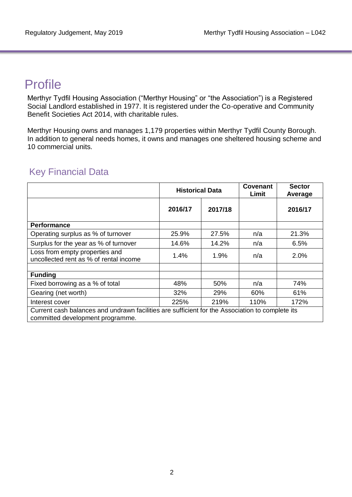## Profile

Merthyr Tydfil Housing Association ("Merthyr Housing" or "the Association") is a Registered Social Landlord established in 1977. It is registered under the Co-operative and Community Benefit Societies Act 2014, with charitable rules.

Merthyr Housing owns and manages 1,179 properties within Merthyr Tydfil County Borough. In addition to general needs homes, it owns and manages one sheltered housing scheme and 10 commercial units.

|                                                                                                                                     | <b>Historical Data</b> |         | Covenant<br>Limit | <b>Sector</b><br>Average |
|-------------------------------------------------------------------------------------------------------------------------------------|------------------------|---------|-------------------|--------------------------|
|                                                                                                                                     | 2016/17                | 2017/18 |                   | 2016/17                  |
| <b>Performance</b>                                                                                                                  |                        |         |                   |                          |
| Operating surplus as % of turnover                                                                                                  | 25.9%                  | 27.5%   | n/a               | 21.3%                    |
| Surplus for the year as % of turnover                                                                                               | 14.6%                  | 14.2%   | n/a               | 6.5%                     |
| Loss from empty properties and<br>uncollected rent as % of rental income                                                            | $1.4\%$                | $1.9\%$ | n/a               | $2.0\%$                  |
| <b>Funding</b>                                                                                                                      |                        |         |                   |                          |
| Fixed borrowing as a % of total                                                                                                     | 48%                    | 50%     | n/a               | 74%                      |
| Gearing (net worth)                                                                                                                 | 32%                    | 29%     | 60%               | 61%                      |
| Interest cover                                                                                                                      | 225%                   | 219%    | 110%              | 172%                     |
| Current cash balances and undrawn facilities are sufficient for the Association to complete its<br>committed development programme. |                        |         |                   |                          |

### Key Financial Data